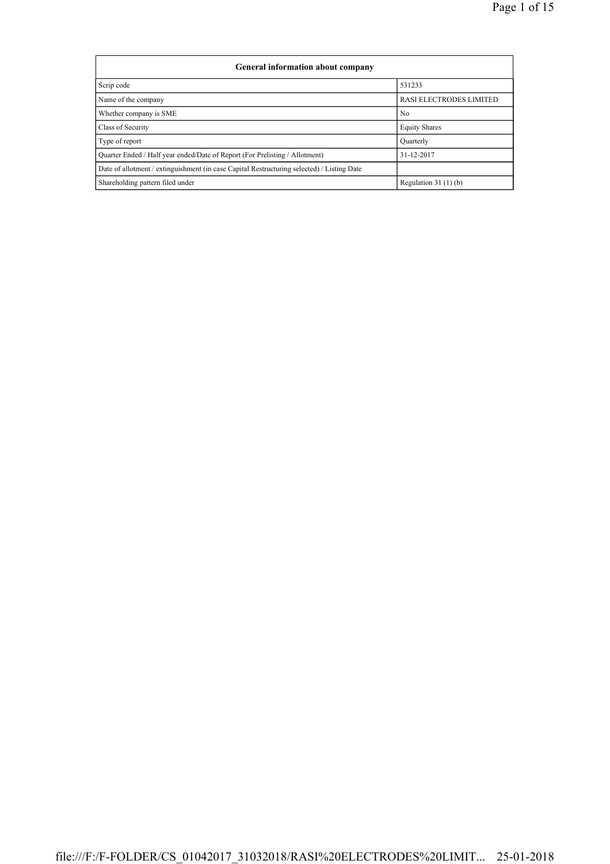| <b>General information about company</b>                                                   |                         |
|--------------------------------------------------------------------------------------------|-------------------------|
| Scrip code                                                                                 | 531233                  |
| Name of the company                                                                        | RASI ELECTRODES LIMITED |
| Whether company is SME                                                                     | N <sub>0</sub>          |
| Class of Security                                                                          | <b>Equity Shares</b>    |
| Type of report                                                                             | Ouarterly               |
| Quarter Ended / Half year ended/Date of Report (For Prelisting / Allotment)                | 31-12-2017              |
| Date of allotment / extinguishment (in case Capital Restructuring selected) / Listing Date |                         |
| Shareholding pattern filed under                                                           | Regulation $31(1)(b)$   |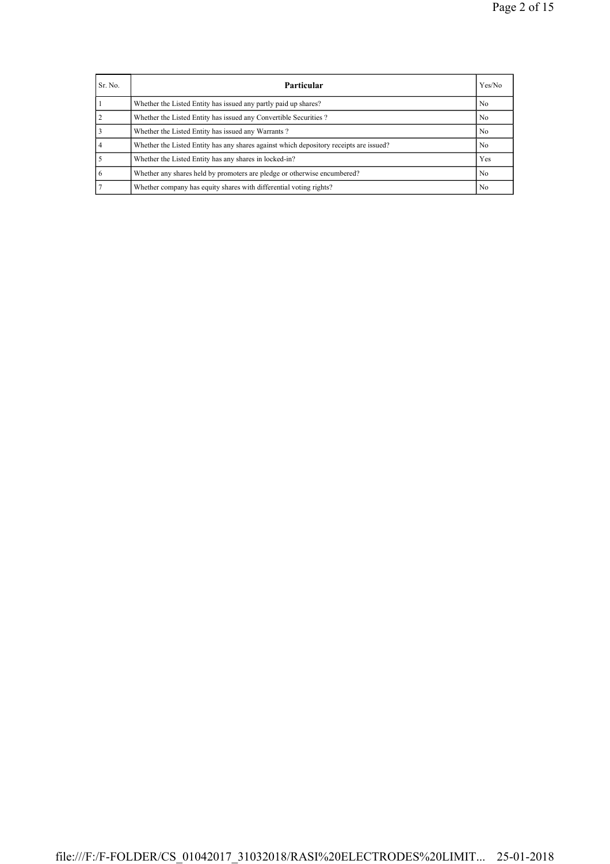| Sr. No. | <b>Particular</b>                                                                      | Yes/No         |
|---------|----------------------------------------------------------------------------------------|----------------|
|         | Whether the Listed Entity has issued any partly paid up shares?                        | N <sub>0</sub> |
|         | Whether the Listed Entity has issued any Convertible Securities?                       | No             |
|         | Whether the Listed Entity has issued any Warrants?                                     | No             |
|         | Whether the Listed Entity has any shares against which depository receipts are issued? | N <sub>0</sub> |
|         | Whether the Listed Entity has any shares in locked-in?                                 | Yes            |
|         | Whether any shares held by promoters are pledge or otherwise encumbered?               | N <sub>0</sub> |
|         | Whether company has equity shares with differential voting rights?                     | N <sub>0</sub> |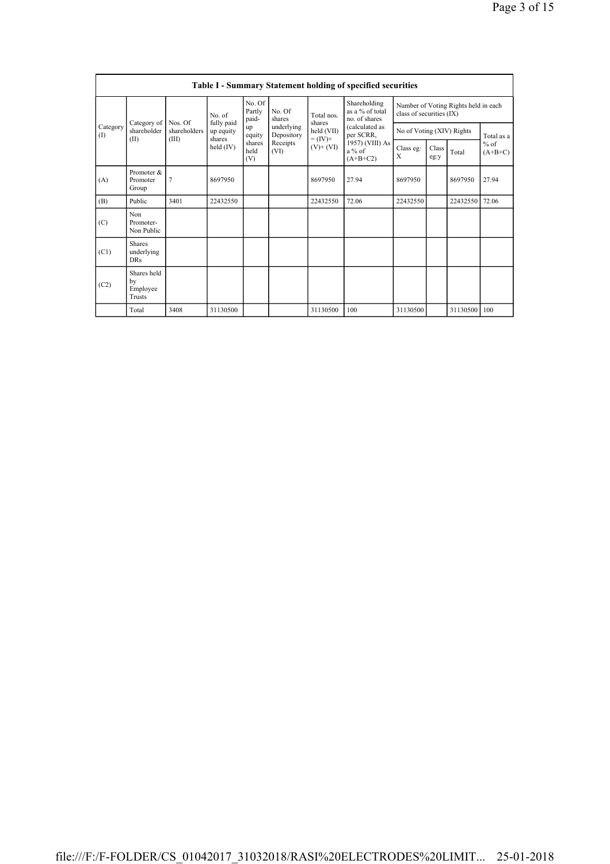|                 |                                           |                         |                         |                           |                          |                              | <b>Table I - Summary Statement holding of specified securities</b> |                                                                  |               |          |                                   |
|-----------------|-------------------------------------------|-------------------------|-------------------------|---------------------------|--------------------------|------------------------------|--------------------------------------------------------------------|------------------------------------------------------------------|---------------|----------|-----------------------------------|
|                 |                                           |                         | No. of                  | No. Of<br>Partly<br>paid- | No. Of<br>shares         | Total nos<br>shares          | Shareholding<br>as a % of total<br>no. of shares                   | Number of Voting Rights held in each<br>class of securities (IX) |               |          |                                   |
| Category<br>(1) | Category of<br>shareholder                | Nos. Of<br>shareholders | fully paid<br>up equity | up<br>equity              | underlying<br>Depository | held (VII)                   | (calculated as<br>per SCRR,                                        | No of Voting (XIV) Rights                                        |               |          | Total as a<br>$%$ of<br>$(A+B+C)$ |
|                 | (II)                                      | (III)                   | shares<br>held (IV)     | shares<br>held<br>(V)     | Receipts<br>(VI)         | $= (IV) +$<br>$(V)$ + $(VI)$ | 1957) (VIII) As<br>$a\%$ of<br>$(A+B+C2)$                          | Class eg:<br>X                                                   | Class<br>eg:y | Total    |                                   |
| (A)             | Promoter &<br>Promoter<br>Group           | 7                       | 8697950                 |                           |                          | 8697950                      | 27.94                                                              | 8697950                                                          |               | 8697950  | 27.94                             |
| (B)             | Public                                    | 3401                    | 22432550                |                           |                          | 22432550                     | 72.06                                                              | 22432550                                                         |               | 22432550 | 72.06                             |
| (C)             | Non<br>Promoter-<br>Non Public            |                         |                         |                           |                          |                              |                                                                    |                                                                  |               |          |                                   |
| (C1)            | <b>Shares</b><br>underlying<br><b>DRs</b> |                         |                         |                           |                          |                              |                                                                    |                                                                  |               |          |                                   |
| (C2)            | Shares held<br>by<br>Employee<br>Trusts   |                         |                         |                           |                          |                              |                                                                    |                                                                  |               |          |                                   |
|                 | Total                                     | 3408                    | 31130500                |                           |                          | 31130500                     | 100                                                                | 31130500                                                         |               | 31130500 | 100                               |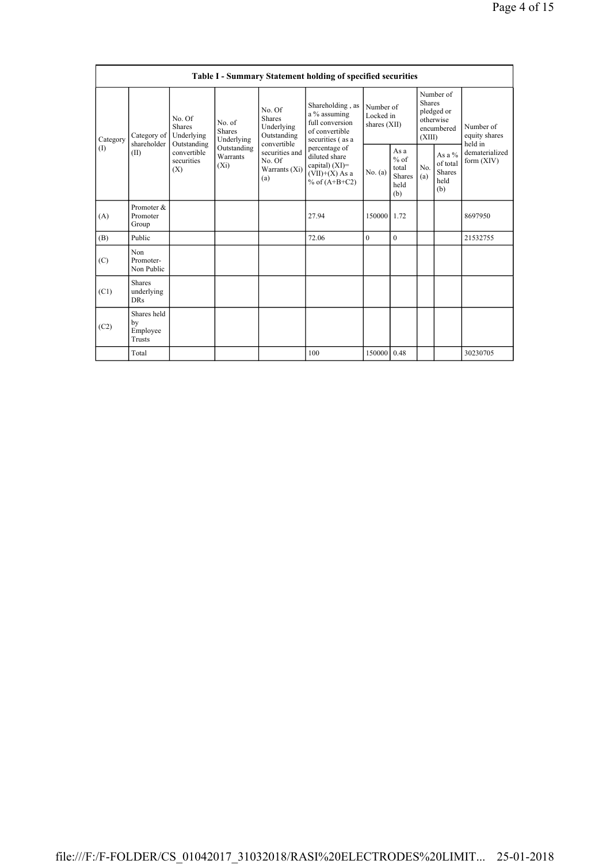|          |                                                                                                                                                                           |             |                                                  |                                                                                            | <b>Table I - Summary Statement holding of specified securities</b>                        |                                                  |              |                                                                               |                                |                                       |
|----------|---------------------------------------------------------------------------------------------------------------------------------------------------------------------------|-------------|--------------------------------------------------|--------------------------------------------------------------------------------------------|-------------------------------------------------------------------------------------------|--------------------------------------------------|--------------|-------------------------------------------------------------------------------|--------------------------------|---------------------------------------|
| Category | No. Of<br>No. of<br><b>Shares</b><br>Shares<br>Category of<br>Underlying<br>shareholder<br>Outstanding<br>convertible<br>(II)<br>Warrants<br>securities<br>$(X_i)$<br>(X) | Underlying  |                                                  | No. Of<br><b>Shares</b><br>Underlying<br>Outstanding<br>convertible                        | Shareholding, as<br>a % assuming<br>full conversion<br>of convertible<br>securities (as a | Number of<br>Locked in<br>shares (XII)           |              | Number of<br><b>Shares</b><br>pledged or<br>otherwise<br>encumbered<br>(XIII) |                                | Number of<br>equity shares<br>held in |
| (1)      |                                                                                                                                                                           | Outstanding | securities and<br>No. Of<br>Warrants (Xi)<br>(a) | percentage of<br>diluted share<br>capital) $(XI)$ =<br>$(VII)+(X)$ As a<br>% of $(A+B+C2)$ | No. (a)                                                                                   | As a<br>$%$ of<br>total<br>Shares<br>held<br>(b) | No.<br>(a)   | As a %<br>of total<br><b>Shares</b><br>held<br>(b)                            | dematerialized<br>form $(XIV)$ |                                       |
| (A)      | Promoter &<br>Promoter<br>Group                                                                                                                                           |             |                                                  |                                                                                            | 27.94                                                                                     | 150000 1.72                                      |              |                                                                               |                                | 8697950                               |
| (B)      | Public                                                                                                                                                                    |             |                                                  |                                                                                            | 72.06                                                                                     | $\theta$                                         | $\mathbf{0}$ |                                                                               |                                | 21532755                              |
| (C)      | Non<br>Promoter-<br>Non Public                                                                                                                                            |             |                                                  |                                                                                            |                                                                                           |                                                  |              |                                                                               |                                |                                       |
| (C1)     | Shares<br>underlying<br><b>DRs</b>                                                                                                                                        |             |                                                  |                                                                                            |                                                                                           |                                                  |              |                                                                               |                                |                                       |
| (C2)     | Shares held<br>by<br>Employee<br>Trusts                                                                                                                                   |             |                                                  |                                                                                            |                                                                                           |                                                  |              |                                                                               |                                |                                       |
|          | Total                                                                                                                                                                     |             |                                                  |                                                                                            | 100                                                                                       | 150000 0.48                                      |              |                                                                               |                                | 30230705                              |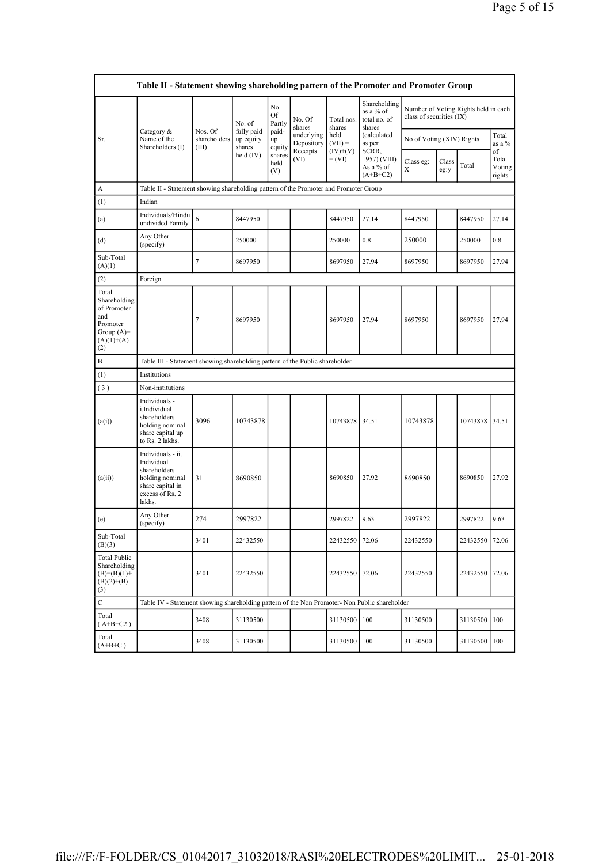|                                                                                                | Table II - Statement showing shareholding pattern of the Promoter and Promoter Group                                |                                  |                                   |                       |                          |                        |                                                                           |                                                                  |               |          |                                 |
|------------------------------------------------------------------------------------------------|---------------------------------------------------------------------------------------------------------------------|----------------------------------|-----------------------------------|-----------------------|--------------------------|------------------------|---------------------------------------------------------------------------|------------------------------------------------------------------|---------------|----------|---------------------------------|
|                                                                                                |                                                                                                                     |                                  | No. of                            | No.<br>Of<br>Partly   | No. Of<br>shares         | Total nos.<br>shares   | Shareholding<br>as a % of<br>total no. of<br>shares                       | Number of Voting Rights held in each<br>class of securities (IX) |               |          |                                 |
| Sr.                                                                                            | Category $\&$<br>Name of the<br>Shareholders (I)                                                                    | Nos. Of<br>shareholders<br>(III) | fully paid<br>up equity<br>shares | paid-<br>up<br>equity | underlying<br>Depository | held<br>$(VII) =$      | (calculated<br>as per<br>SCRR,<br>1957) (VIII)<br>As a % of<br>$(A+B+C2)$ | No of Voting (XIV) Rights                                        |               |          | Total<br>as a $\%$              |
|                                                                                                |                                                                                                                     |                                  | held $(IV)$                       | shares<br>held<br>(V) | Receipts<br>(VI)         | $(IV)+(V)$<br>$+ (VI)$ |                                                                           | Class eg:<br>X                                                   | Class<br>eg:y | Total    | of<br>Total<br>Voting<br>rights |
| A                                                                                              | Table II - Statement showing shareholding pattern of the Promoter and Promoter Group                                |                                  |                                   |                       |                          |                        |                                                                           |                                                                  |               |          |                                 |
| (1)                                                                                            | Indian                                                                                                              |                                  |                                   |                       |                          |                        |                                                                           |                                                                  |               |          |                                 |
| (a)                                                                                            | Individuals/Hindu<br>undivided Family                                                                               | 6                                | 8447950                           |                       |                          | 8447950                | 27.14                                                                     | 8447950                                                          |               | 8447950  | 27.14                           |
| (d)                                                                                            | Any Other<br>(specify)                                                                                              | $\mathbf{1}$                     | 250000                            |                       |                          | 250000                 | 0.8                                                                       | 250000                                                           |               | 250000   | 0.8                             |
| Sub-Total<br>(A)(1)                                                                            |                                                                                                                     | $\boldsymbol{7}$                 | 8697950                           |                       |                          | 8697950                | 27.94                                                                     | 8697950                                                          |               | 8697950  | 27.94                           |
| (2)                                                                                            | Foreign                                                                                                             |                                  |                                   |                       |                          |                        |                                                                           |                                                                  |               |          |                                 |
| Total<br>Shareholding<br>of Promoter<br>and<br>Promoter<br>Group $(A)=$<br>$(A)(1)+(A)$<br>(2) |                                                                                                                     | 7                                | 8697950                           |                       |                          | 8697950                | 27.94                                                                     | 8697950                                                          |               | 8697950  | 27.94                           |
| B                                                                                              | Table III - Statement showing shareholding pattern of the Public shareholder                                        |                                  |                                   |                       |                          |                        |                                                                           |                                                                  |               |          |                                 |
| (1)                                                                                            | Institutions                                                                                                        |                                  |                                   |                       |                          |                        |                                                                           |                                                                  |               |          |                                 |
| (3)                                                                                            | Non-institutions                                                                                                    |                                  |                                   |                       |                          |                        |                                                                           |                                                                  |               |          |                                 |
| (a(i))                                                                                         | Individuals -<br>i.Individual<br>shareholders<br>holding nominal<br>share capital up<br>to Rs. 2 lakhs.             | 3096                             | 10743878                          |                       |                          | 10743878               | 34.51                                                                     | 10743878                                                         |               | 10743878 | 34.51                           |
| (a(ii))                                                                                        | Individuals - ii.<br>Individual<br>shareholders<br>holding nominal<br>share capital in<br>excess of Rs. 2<br>lakhs. | 31                               | 8690850                           |                       |                          | 8690850                | 27.92                                                                     | 8690850                                                          |               | 8690850  | 27.92                           |
| (e)                                                                                            | Any Other<br>(specify)                                                                                              | 274                              | 2997822                           |                       |                          | 2997822                | 9.63                                                                      | 2997822                                                          |               | 2997822  | 9.63                            |
| Sub-Total<br>(B)(3)                                                                            |                                                                                                                     | 3401                             | 22432550                          |                       |                          | 22432550 72.06         |                                                                           | 22432550                                                         |               | 22432550 | 72.06                           |
| <b>Total Public</b><br>Shareholding<br>$(B)= (B)(1) +$<br>$(B)(2)+(B)$<br>(3)                  |                                                                                                                     | 3401                             | 22432550                          |                       |                          | 22432550 72.06         |                                                                           | 22432550                                                         |               | 22432550 | 72.06                           |
| C                                                                                              | Table IV - Statement showing shareholding pattern of the Non Promoter- Non Public shareholder                       |                                  |                                   |                       |                          |                        |                                                                           |                                                                  |               |          |                                 |
| Total<br>$(A+B+C2)$                                                                            |                                                                                                                     | 3408                             | 31130500                          |                       |                          | 31130500               | 100                                                                       | 31130500                                                         |               | 31130500 | 100                             |
| Total<br>$(A+B+C)$                                                                             |                                                                                                                     | 3408                             | 31130500                          |                       |                          | 31130500 100           |                                                                           | 31130500                                                         |               | 31130500 | 100                             |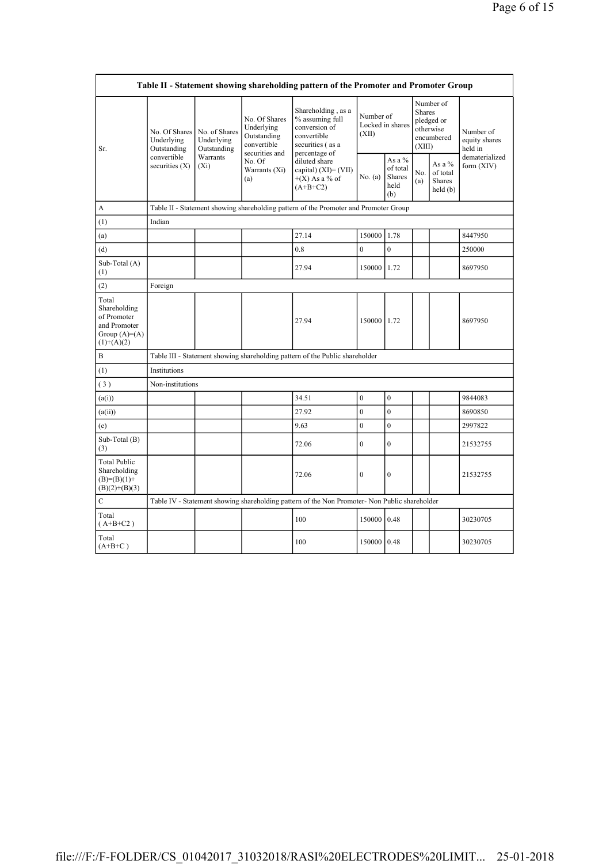|                                                                                        |                                            |                                            |                                                           | Table II - Statement showing shareholding pattern of the Promoter and Promoter Group         |                                        |                                               |                                                                               |                                         |                                       |
|----------------------------------------------------------------------------------------|--------------------------------------------|--------------------------------------------|-----------------------------------------------------------|----------------------------------------------------------------------------------------------|----------------------------------------|-----------------------------------------------|-------------------------------------------------------------------------------|-----------------------------------------|---------------------------------------|
| Sr.                                                                                    | No. Of Shares<br>Underlying<br>Outstanding | No. of Shares<br>Underlying<br>Outstanding | No. Of Shares<br>Underlying<br>Outstanding<br>convertible | Shareholding, as a<br>% assuming full<br>conversion of<br>convertible<br>securities (as a    | Number of<br>Locked in shares<br>(XII) |                                               | Number of<br><b>Shares</b><br>pledged or<br>otherwise<br>encumbered<br>(XIII) |                                         | Number of<br>equity shares<br>held in |
|                                                                                        | convertible<br>securities $(X)$            | Warrants<br>$(X_i)$                        | securities and<br>No. Of<br>Warrants (Xi)<br>(a)          | percentage of<br>diluted share<br>capital) $(XI) = (VII)$<br>$+(X)$ As a % of<br>$(A+B+C2)$  | No. (a)                                | As a $%$<br>of total<br>Shares<br>held<br>(b) | No.<br>(a)                                                                    | As a %<br>of total<br>Shares<br>held(b) | dematerialized<br>form $(XIV)$        |
| А                                                                                      |                                            |                                            |                                                           | Table II - Statement showing shareholding pattern of the Promoter and Promoter Group         |                                        |                                               |                                                                               |                                         |                                       |
| (1)                                                                                    | Indian                                     |                                            |                                                           |                                                                                              |                                        |                                               |                                                                               |                                         |                                       |
| (a)                                                                                    |                                            |                                            |                                                           | 27.14                                                                                        | 150000                                 | 1.78                                          |                                                                               |                                         | 8447950                               |
| (d)                                                                                    |                                            |                                            |                                                           | 0.8                                                                                          | $\overline{0}$                         | $\overline{0}$                                |                                                                               |                                         | 250000                                |
| Sub-Total (A)<br>(1)                                                                   |                                            |                                            |                                                           | 27.94                                                                                        | 150000 1.72                            |                                               |                                                                               |                                         | 8697950                               |
| (2)                                                                                    | Foreign                                    |                                            |                                                           |                                                                                              |                                        |                                               |                                                                               |                                         |                                       |
| Total<br>Shareholding<br>of Promoter<br>and Promoter<br>Group $(A)=A)$<br>$(1)+(A)(2)$ |                                            |                                            |                                                           | 27.94                                                                                        | 150000 1.72                            |                                               |                                                                               |                                         | 8697950                               |
| B                                                                                      |                                            |                                            |                                                           | Table III - Statement showing shareholding pattern of the Public shareholder                 |                                        |                                               |                                                                               |                                         |                                       |
| (1)                                                                                    | Institutions                               |                                            |                                                           |                                                                                              |                                        |                                               |                                                                               |                                         |                                       |
| (3)                                                                                    | Non-institutions                           |                                            |                                                           |                                                                                              |                                        |                                               |                                                                               |                                         |                                       |
| (a(i))                                                                                 |                                            |                                            |                                                           | 34.51                                                                                        | $\overline{0}$                         | $\boldsymbol{0}$                              |                                                                               |                                         | 9844083                               |
| (a(ii))                                                                                |                                            |                                            |                                                           | 27.92                                                                                        | $\overline{0}$                         | $\mathbf{0}$                                  |                                                                               |                                         | 8690850                               |
| (e)                                                                                    |                                            |                                            |                                                           | 9.63                                                                                         | $\overline{0}$                         | $\overline{0}$                                |                                                                               |                                         | 2997822                               |
| Sub-Total (B)<br>(3)                                                                   |                                            |                                            |                                                           | 72.06                                                                                        | $\mathbf{0}$                           | $\mathbf{0}$                                  |                                                                               |                                         | 21532755                              |
| <b>Total Public</b><br>Shareholding<br>$(B)= (B)(1) +$<br>$(B)(2)+(B)(3)$              |                                            |                                            |                                                           | 72.06                                                                                        | $\overline{0}$                         | $\mathbf{0}$                                  |                                                                               |                                         | 21532755                              |
| $\mathcal{C}$                                                                          |                                            |                                            |                                                           | Table IV - Statement showing shareholding pattern of the Non Promoter-Non Public shareholder |                                        |                                               |                                                                               |                                         |                                       |
| Total<br>$(A+B+C2)$                                                                    |                                            |                                            |                                                           | 100                                                                                          | 150000                                 | 0.48                                          |                                                                               |                                         | 30230705                              |
| Total<br>$(A+B+C)$                                                                     |                                            |                                            |                                                           | 100                                                                                          | 150000 0.48                            |                                               |                                                                               |                                         | 30230705                              |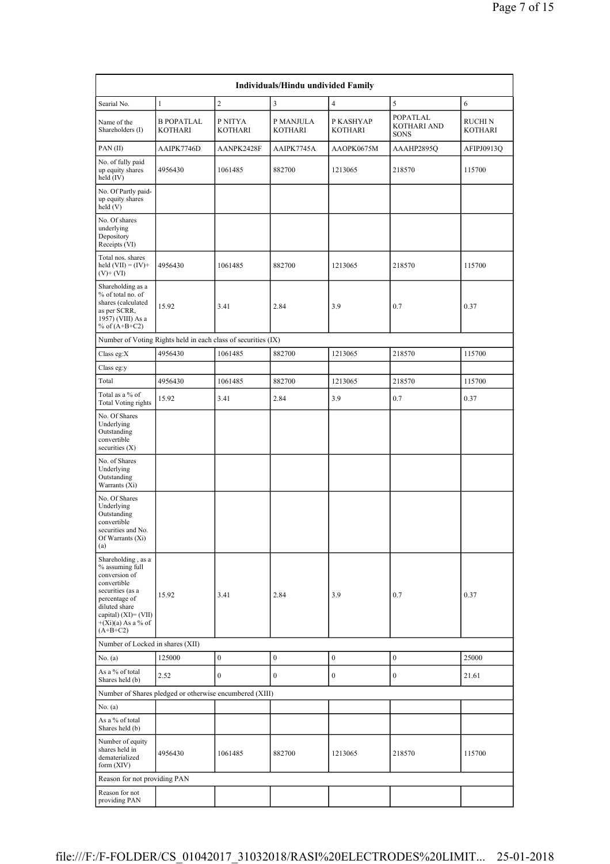|                                                                                                                                                                                              |                                                               |                    | Individuals/Hindu undivided Family |                      |                                        |                    |
|----------------------------------------------------------------------------------------------------------------------------------------------------------------------------------------------|---------------------------------------------------------------|--------------------|------------------------------------|----------------------|----------------------------------------|--------------------|
| Searial No.                                                                                                                                                                                  | $\mathbf{1}$                                                  | $\overline{c}$     | 3                                  | $\overline{4}$       | 5                                      | 6                  |
| Name of the<br>Shareholders (I)                                                                                                                                                              | <b>B POPATLAL</b><br>KOTHARI                                  | P NITYA<br>KOTHARI | P MANJULA<br>KOTHARI               | P KASHYAP<br>KOTHARI | POPATLAL<br>KOTHARI AND<br><b>SONS</b> | RUCHI N<br>KOTHARI |
| PAN(II)                                                                                                                                                                                      | AAIPK7746D                                                    | AANPK2428F         | AAIPK7745A                         | AAOPK0675M           | AAAHP2895Q                             | AFIPJ0913Q         |
| No. of fully paid<br>up equity shares<br>held (IV)                                                                                                                                           | 4956430                                                       | 1061485            | 882700                             | 1213065              | 218570                                 | 115700             |
| No. Of Partly paid-<br>up equity shares<br>held(V)                                                                                                                                           |                                                               |                    |                                    |                      |                                        |                    |
| No. Of shares<br>underlying<br>Depository<br>Receipts (VI)                                                                                                                                   |                                                               |                    |                                    |                      |                                        |                    |
| Total nos. shares<br>held $(VII) = (IV) +$<br>$(V)$ + $(VI)$                                                                                                                                 | 4956430                                                       | 1061485            | 882700                             | 1213065              | 218570                                 | 115700             |
| Shareholding as a<br>% of total no. of<br>shares (calculated<br>as per SCRR,<br>1957) (VIII) As a<br>% of $(A+B+C2)$                                                                         | 15.92                                                         | 3.41               | 2.84                               | 3.9                  | 0.7                                    | 0.37               |
|                                                                                                                                                                                              | Number of Voting Rights held in each class of securities (IX) |                    |                                    |                      |                                        |                    |
| Class eg: $X$                                                                                                                                                                                | 4956430                                                       | 1061485            | 882700                             | 1213065              | 218570                                 | 115700             |
| Class eg:y                                                                                                                                                                                   |                                                               |                    |                                    |                      |                                        |                    |
| Total                                                                                                                                                                                        | 4956430                                                       | 1061485            | 882700                             | 1213065              | 218570                                 | 115700             |
| Total as a % of<br><b>Total Voting rights</b>                                                                                                                                                | 15.92                                                         | 3.41               | 2.84                               | 3.9                  | 0.7                                    | 0.37               |
| No. Of Shares<br>Underlying<br>Outstanding<br>convertible<br>securities $(X)$                                                                                                                |                                                               |                    |                                    |                      |                                        |                    |
| No. of Shares<br>Underlying<br>Outstanding<br>Warrants (Xi)                                                                                                                                  |                                                               |                    |                                    |                      |                                        |                    |
| No. Of Shares<br>Underlying<br>Outstanding<br>convertible<br>securities and No.<br>Of Warrants (Xi)<br>(a)                                                                                   |                                                               |                    |                                    |                      |                                        |                    |
| Shareholding, as a<br>% assuming full<br>conversion of<br>convertible<br>securities (as a<br>percentage of<br>diluted share<br>capital) $(XI) = (VII)$<br>$+(Xi)(a)$ As a % of<br>$(A+B+C2)$ | 15.92                                                         | 3.41               | 2.84                               | 3.9                  | 0.7                                    | 0.37               |
| Number of Locked in shares (XII)                                                                                                                                                             |                                                               |                    |                                    |                      |                                        |                    |
| No. $(a)$                                                                                                                                                                                    | 125000                                                        | $\boldsymbol{0}$   | $\boldsymbol{0}$                   | $\bf{0}$             | $\boldsymbol{0}$                       | 25000              |
| As a % of total<br>Shares held (b)                                                                                                                                                           | 2.52                                                          | $\boldsymbol{0}$   | $\mathbf{0}$                       | $\boldsymbol{0}$     | $\boldsymbol{0}$                       | 21.61              |
|                                                                                                                                                                                              | Number of Shares pledged or otherwise encumbered (XIII)       |                    |                                    |                      |                                        |                    |
| No. $(a)$                                                                                                                                                                                    |                                                               |                    |                                    |                      |                                        |                    |
| As a % of total<br>Shares held (b)                                                                                                                                                           |                                                               |                    |                                    |                      |                                        |                    |
| Number of equity<br>shares held in<br>dematerialized                                                                                                                                         | 4956430                                                       | 1061485            | 882700                             | 1213065              | 218570                                 | 115700             |
| form $(XIV)$                                                                                                                                                                                 |                                                               |                    |                                    |                      |                                        |                    |
| Reason for not providing PAN                                                                                                                                                                 |                                                               |                    |                                    |                      |                                        |                    |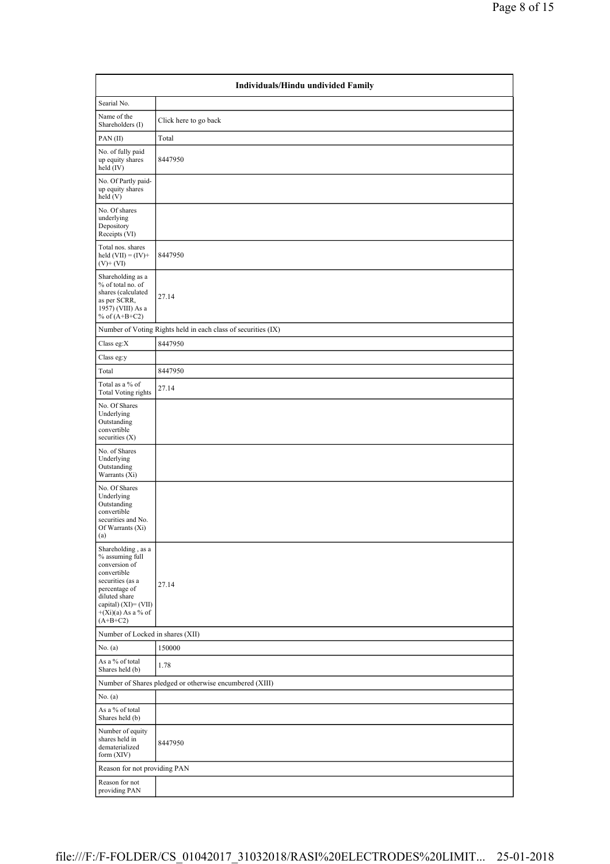| Individuals/Hindu undivided Family                                                                                                                                                           |                                                               |  |  |  |  |  |
|----------------------------------------------------------------------------------------------------------------------------------------------------------------------------------------------|---------------------------------------------------------------|--|--|--|--|--|
| Searial No.                                                                                                                                                                                  |                                                               |  |  |  |  |  |
| Name of the<br>Shareholders (I)                                                                                                                                                              | Click here to go back                                         |  |  |  |  |  |
| PAN(II)                                                                                                                                                                                      | Total                                                         |  |  |  |  |  |
| No. of fully paid<br>up equity shares<br>held (IV)                                                                                                                                           | 8447950                                                       |  |  |  |  |  |
| No. Of Partly paid-<br>up equity shares<br>held(V)                                                                                                                                           |                                                               |  |  |  |  |  |
| No. Of shares<br>underlying<br>Depository<br>Receipts (VI)                                                                                                                                   |                                                               |  |  |  |  |  |
| Total nos. shares<br>held $(VII) = (IV) +$<br>$(V)$ + $(VI)$                                                                                                                                 | 8447950                                                       |  |  |  |  |  |
| Shareholding as a<br>% of total no. of<br>shares (calculated<br>as per SCRR,<br>1957) (VIII) As a<br>% of $(A+B+C2)$                                                                         | 27.14                                                         |  |  |  |  |  |
|                                                                                                                                                                                              | Number of Voting Rights held in each class of securities (IX) |  |  |  |  |  |
| Class eg:X                                                                                                                                                                                   | 8447950                                                       |  |  |  |  |  |
| Class eg:y                                                                                                                                                                                   |                                                               |  |  |  |  |  |
| Total                                                                                                                                                                                        | 8447950                                                       |  |  |  |  |  |
| Total as a % of<br><b>Total Voting rights</b>                                                                                                                                                | 27.14                                                         |  |  |  |  |  |
| No. Of Shares<br>Underlying<br>Outstanding<br>convertible<br>securities $(X)$                                                                                                                |                                                               |  |  |  |  |  |
| No. of Shares<br>Underlying<br>Outstanding<br>Warrants (Xi)                                                                                                                                  |                                                               |  |  |  |  |  |
| No. Of Shares<br>Underlying<br>Outstanding<br>convertible<br>securities and No.<br>Of Warrants (Xi)<br>(a)                                                                                   |                                                               |  |  |  |  |  |
| Shareholding, as a<br>% assuming full<br>conversion of<br>convertible<br>securities (as a<br>percentage of<br>diluted share<br>capital) $(XI) = (VII)$<br>$+(Xi)(a)$ As a % of<br>$(A+B+C2)$ | 27.14                                                         |  |  |  |  |  |
| Number of Locked in shares (XII)                                                                                                                                                             |                                                               |  |  |  |  |  |
| No. $(a)$                                                                                                                                                                                    | 150000                                                        |  |  |  |  |  |
| As a % of total<br>Shares held (b)                                                                                                                                                           | 1.78                                                          |  |  |  |  |  |
|                                                                                                                                                                                              | Number of Shares pledged or otherwise encumbered (XIII)       |  |  |  |  |  |
| No. $(a)$                                                                                                                                                                                    |                                                               |  |  |  |  |  |
| As a % of total<br>Shares held (b)                                                                                                                                                           |                                                               |  |  |  |  |  |
| Number of equity<br>shares held in<br>dematerialized<br>form (XIV)                                                                                                                           | 8447950                                                       |  |  |  |  |  |
| Reason for not providing PAN                                                                                                                                                                 |                                                               |  |  |  |  |  |
| Reason for not<br>providing PAN                                                                                                                                                              |                                                               |  |  |  |  |  |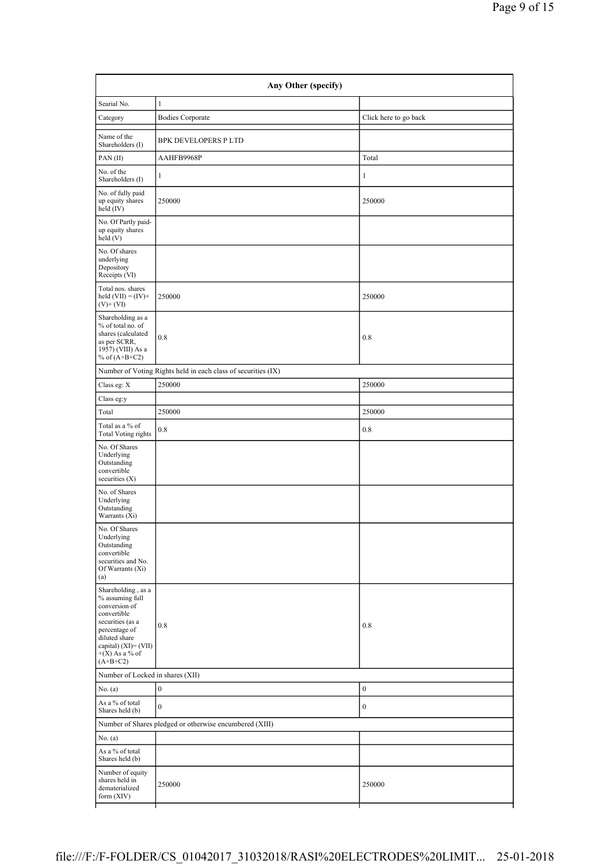| Searial No.                                                                                                                                                                                 | $\mathbf{1}$                                                  |                       |
|---------------------------------------------------------------------------------------------------------------------------------------------------------------------------------------------|---------------------------------------------------------------|-----------------------|
| Category                                                                                                                                                                                    | <b>Bodies Corporate</b>                                       | Click here to go back |
| Name of the<br>Shareholders (I)                                                                                                                                                             | <b>BPK DEVELOPERS P LTD</b>                                   |                       |
| PAN(II)                                                                                                                                                                                     | AAHFB9968P                                                    | Total                 |
| No. of the<br>Shareholders (I)                                                                                                                                                              | $\mathbf{1}$                                                  | $\mathbf{1}$          |
| No. of fully paid<br>up equity shares<br>held (IV)                                                                                                                                          | 250000                                                        | 250000                |
| No. Of Partly paid-<br>up equity shares<br>held(V)                                                                                                                                          |                                                               |                       |
| No. Of shares<br>underlying<br>Depository<br>Receipts (VI)                                                                                                                                  |                                                               |                       |
| Total nos. shares<br>held $(VII) = (IV) +$<br>$(V)$ + $(VI)$                                                                                                                                | 250000                                                        | 250000                |
| Shareholding as a<br>% of total no. of<br>shares (calculated<br>as per SCRR,<br>1957) (VIII) As a<br>% of $(A+B+C2)$                                                                        | 0.8                                                           | 0.8                   |
|                                                                                                                                                                                             | Number of Voting Rights held in each class of securities (IX) |                       |
| Class eg: X                                                                                                                                                                                 | 250000                                                        | 250000                |
| Class eg:y                                                                                                                                                                                  |                                                               |                       |
| Total                                                                                                                                                                                       | 250000                                                        | 250000                |
| Total as a % of<br><b>Total Voting rights</b>                                                                                                                                               | 0.8                                                           | 0.8                   |
| No. Of Shares<br>Underlying<br>Outstanding<br>convertible<br>securities $(X)$                                                                                                               |                                                               |                       |
| No. of Shares<br>Underlying<br>Outstanding<br>Warrants (Xi)                                                                                                                                 |                                                               |                       |
| No. Of Shares<br>Underlying<br>Outstanding<br>convertible<br>securities and No.<br>Of Warrants (Xi)<br>(a)                                                                                  |                                                               |                       |
| Shareholding, as a<br>$\%$ assuming full<br>conversion of<br>convertible<br>securities (as a<br>percentage of<br>diluted share<br>capital) $(XI) = (VII)$<br>$+(X)$ As a % of<br>$(A+B+C2)$ | 0.8                                                           | 0.8                   |
| Number of Locked in shares (XII)                                                                                                                                                            |                                                               |                       |
| No. (a)                                                                                                                                                                                     | $\boldsymbol{0}$                                              | $\boldsymbol{0}$      |
| As a % of total<br>Shares held (b)                                                                                                                                                          | $\boldsymbol{0}$                                              | $\boldsymbol{0}$      |
|                                                                                                                                                                                             | Number of Shares pledged or otherwise encumbered (XIII)       |                       |
| No. (a)                                                                                                                                                                                     |                                                               |                       |
| As a % of total<br>Shares held (b)                                                                                                                                                          |                                                               |                       |
| Number of equity<br>shares held in<br>dematerialized<br>form (XIV)                                                                                                                          | 250000                                                        | 250000                |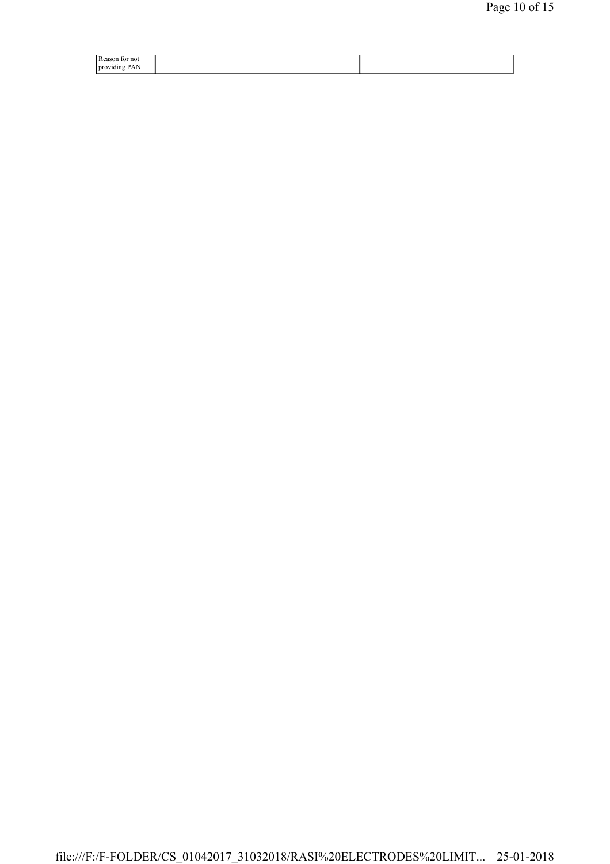| Reason for not |  |
|----------------|--|
| providing PAN  |  |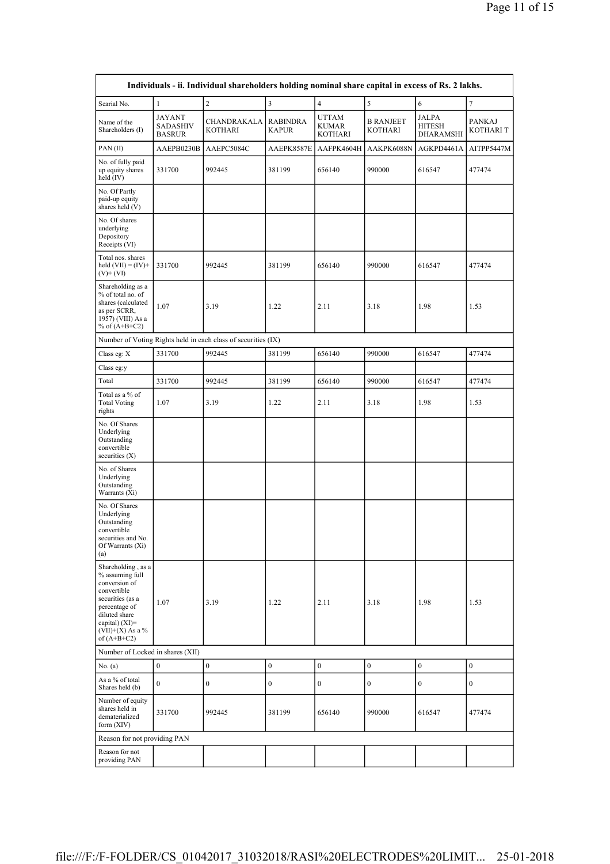|                                                                                                                                                                                      |                                            | Individuals - ii. Individual shareholders holding nominal share capital in excess of Rs. 2 lakhs. |                                 |                           |                                    |                                     |                                  |
|--------------------------------------------------------------------------------------------------------------------------------------------------------------------------------------|--------------------------------------------|---------------------------------------------------------------------------------------------------|---------------------------------|---------------------------|------------------------------------|-------------------------------------|----------------------------------|
| Searial No.                                                                                                                                                                          | $\mathbf{1}$                               | $\overline{c}$                                                                                    | 3                               | $\overline{4}$            | $\sqrt{5}$                         | 6                                   | $\overline{7}$                   |
| Name of the<br>Shareholders (I)                                                                                                                                                      | JAYANT<br><b>SADASHIV</b><br><b>BASRUR</b> | CHANDRAKALA<br>KOTHARI                                                                            | <b>RABINDRA</b><br><b>KAPUR</b> | UTTAM<br>KUMAR<br>KOTHARI | <b>B RANJEET</b><br><b>KOTHARI</b> | JALPA<br>HITESH<br><b>DHARAMSHI</b> | <b>PANKAJ</b><br><b>KOTHARIT</b> |
| PAN(II)                                                                                                                                                                              | AAEPB0230B                                 | AAEPC5084C                                                                                        | AAEPK8587E                      | AAFPK4604H                | AAKPK6088N                         | AGKPD4461A                          | AITPP5447M                       |
| No. of fully paid<br>up equity shares<br>held (IV)                                                                                                                                   | 331700                                     | 992445                                                                                            | 381199                          | 656140                    | 990000                             | 616547                              | 477474                           |
| No. Of Partly<br>paid-up equity<br>shares held (V)                                                                                                                                   |                                            |                                                                                                   |                                 |                           |                                    |                                     |                                  |
| No. Of shares<br>underlying<br>Depository<br>Receipts (VI)                                                                                                                           |                                            |                                                                                                   |                                 |                           |                                    |                                     |                                  |
| Total nos. shares<br>held $(VII) = (IV) +$<br>$(V)$ + $(VI)$                                                                                                                         | 331700                                     | 992445                                                                                            | 381199                          | 656140                    | 990000                             | 616547                              | 477474                           |
| Shareholding as a<br>% of total no. of<br>shares (calculated<br>as per SCRR,<br>1957) (VIII) As a<br>% of $(A+B+C2)$                                                                 | 1.07                                       | 3.19                                                                                              | 1.22                            | 2.11                      | 3.18                               | 1.98                                | 1.53                             |
|                                                                                                                                                                                      |                                            | Number of Voting Rights held in each class of securities (IX)                                     |                                 |                           |                                    |                                     |                                  |
| Class eg: X                                                                                                                                                                          | 331700                                     | 992445                                                                                            | 381199                          | 656140                    | 990000                             | 616547                              | 477474                           |
| Class eg:y                                                                                                                                                                           |                                            |                                                                                                   |                                 |                           |                                    |                                     |                                  |
| Total                                                                                                                                                                                | 331700                                     | 992445                                                                                            | 381199                          | 656140                    | 990000                             | 616547                              | 477474                           |
| Total as a % of<br><b>Total Voting</b><br>rights                                                                                                                                     | 1.07                                       | 3.19                                                                                              | 1.22                            | 2.11                      | 3.18                               | 1.98                                | 1.53                             |
| No. Of Shares<br>Underlying<br>Outstanding<br>convertible<br>securities $(X)$                                                                                                        |                                            |                                                                                                   |                                 |                           |                                    |                                     |                                  |
| No. of Shares<br>Underlying<br>Outstanding<br>Warrants (Xi)                                                                                                                          |                                            |                                                                                                   |                                 |                           |                                    |                                     |                                  |
| No. Of Shares<br>Underlying<br>Outstanding<br>convertible<br>securities and No.<br>Of Warrants (Xi)<br>(a)                                                                           |                                            |                                                                                                   |                                 |                           |                                    |                                     |                                  |
| Shareholding, as a<br>% assuming full<br>conversion of<br>convertible<br>securities (as a<br>percentage of<br>diluted share<br>capital) (XI)=<br>$(VII)+(X)$ As a %<br>of $(A+B+C2)$ | 1.07                                       | 3.19                                                                                              | 1.22                            | 2.11                      | 3.18                               | 1.98                                | 1.53                             |
| Number of Locked in shares (XII)                                                                                                                                                     |                                            |                                                                                                   |                                 |                           |                                    |                                     |                                  |
| No. (a)                                                                                                                                                                              | $\boldsymbol{0}$                           | $\boldsymbol{0}$                                                                                  | $\boldsymbol{0}$                | $\boldsymbol{0}$          | $\boldsymbol{0}$                   | $\boldsymbol{0}$                    | $\boldsymbol{0}$                 |
| As a % of total<br>Shares held (b)                                                                                                                                                   | $\mathbf{0}$                               | $\boldsymbol{0}$                                                                                  | $\boldsymbol{0}$                | $\boldsymbol{0}$          | $\boldsymbol{0}$                   | $\boldsymbol{0}$                    | $\boldsymbol{0}$                 |
| Number of equity<br>shares held in<br>dematerialized<br>form (XIV)                                                                                                                   | 331700                                     | 992445                                                                                            | 381199                          | 656140                    | 990000                             | 616547                              | 477474                           |
| Reason for not providing PAN                                                                                                                                                         |                                            |                                                                                                   |                                 |                           |                                    |                                     |                                  |
| Reason for not<br>providing PAN                                                                                                                                                      |                                            |                                                                                                   |                                 |                           |                                    |                                     |                                  |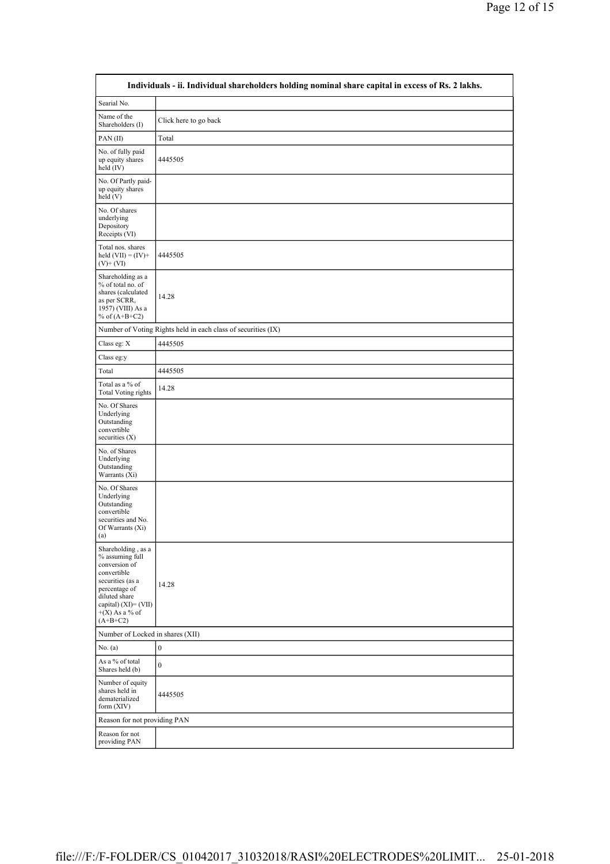|                                                                                                                                                                                          | Individuals - ii. Individual shareholders holding nominal share capital in excess of Rs. 2 lakhs. |
|------------------------------------------------------------------------------------------------------------------------------------------------------------------------------------------|---------------------------------------------------------------------------------------------------|
| Searial No.                                                                                                                                                                              |                                                                                                   |
| Name of the<br>Shareholders (I)                                                                                                                                                          | Click here to go back                                                                             |
| PAN(II)                                                                                                                                                                                  | Total                                                                                             |
| No. of fully paid<br>up equity shares<br>held (IV)                                                                                                                                       | 4445505                                                                                           |
| No. Of Partly paid-<br>up equity shares<br>held (V)                                                                                                                                      |                                                                                                   |
| No. Of shares<br>underlying<br>Depository<br>Receipts (VI)                                                                                                                               |                                                                                                   |
| Total nos. shares<br>held $(VII) = (IV) +$<br>$(V)$ + $(VI)$                                                                                                                             | 4445505                                                                                           |
| Shareholding as a<br>% of total no. of<br>shares (calculated<br>as per SCRR,<br>1957) (VIII) As a<br>% of $(A+B+C2)$                                                                     | 14.28                                                                                             |
|                                                                                                                                                                                          | Number of Voting Rights held in each class of securities (IX)                                     |
| Class eg: X                                                                                                                                                                              | 4445505                                                                                           |
| Class eg:y                                                                                                                                                                               |                                                                                                   |
| Total                                                                                                                                                                                    | 4445505                                                                                           |
| Total as a $\%$ of<br><b>Total Voting rights</b>                                                                                                                                         | 14.28                                                                                             |
| No. Of Shares<br>Underlying<br>Outstanding<br>convertible<br>securities $(X)$                                                                                                            |                                                                                                   |
| No. of Shares<br>Underlying<br>Outstanding<br>Warrants (Xi)                                                                                                                              |                                                                                                   |
| No. Of Shares<br>Underlying<br>Outstanding<br>convertible<br>securities and No.<br>Of Warrants (Xi)<br>(a)                                                                               |                                                                                                   |
| Shareholding, as a<br>% assuming full<br>conversion of<br>convertible<br>securities (as a<br>percentage of<br>diluted share<br>capital) $(XI) = (VII)$<br>$+(X)$ As a % of<br>$(A+B+C2)$ | 14.28                                                                                             |
| Number of Locked in shares (XII)                                                                                                                                                         |                                                                                                   |
| No. (a)                                                                                                                                                                                  | $\boldsymbol{0}$                                                                                  |
| As a % of total<br>Shares held (b)                                                                                                                                                       | $\boldsymbol{0}$                                                                                  |
| Number of equity<br>shares held in<br>dematerialized<br>form $(XIV)$                                                                                                                     | 4445505                                                                                           |
| Reason for not providing PAN                                                                                                                                                             |                                                                                                   |
| Reason for not<br>providing PAN                                                                                                                                                          |                                                                                                   |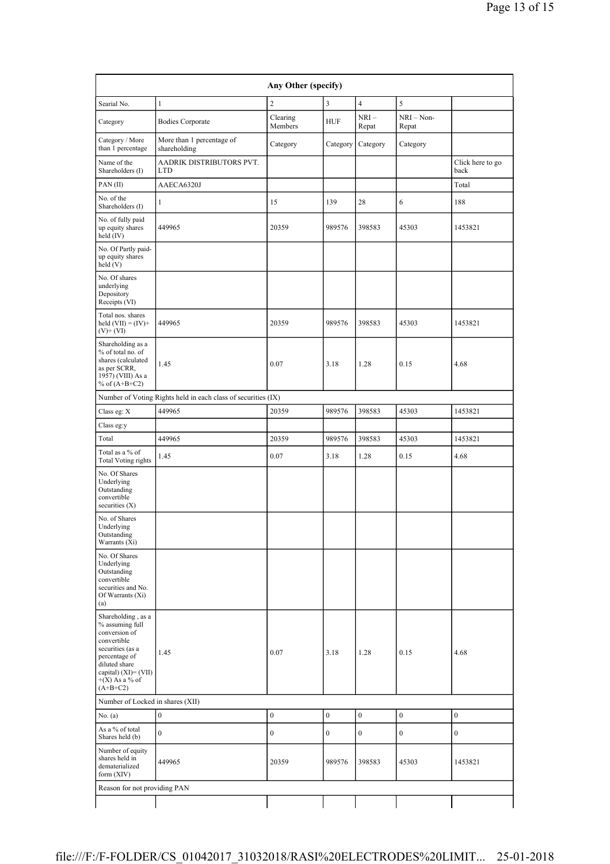| Any Other (specify)                                                                                                                                                                      |                                                               |                     |                  |                  |                   |                          |  |  |
|------------------------------------------------------------------------------------------------------------------------------------------------------------------------------------------|---------------------------------------------------------------|---------------------|------------------|------------------|-------------------|--------------------------|--|--|
| Searial No.                                                                                                                                                                              | $\mathbf{1}$                                                  | $\overline{c}$      | 3                | $\overline{4}$   | 5                 |                          |  |  |
| Category                                                                                                                                                                                 | <b>Bodies Corporate</b>                                       | Clearing<br>Members | <b>HUF</b>       | $NRI-$<br>Repat  | NRI-Non-<br>Repat |                          |  |  |
| Category / More<br>than 1 percentage                                                                                                                                                     | More than 1 percentage of<br>shareholding                     | Category            | Category         | Category         | Category          |                          |  |  |
| Name of the<br>Shareholders (I)                                                                                                                                                          | AADRIK DISTRIBUTORS PVT.<br><b>LTD</b>                        |                     |                  |                  |                   | Click here to go<br>back |  |  |
| PAN (II)                                                                                                                                                                                 | AAECA6320J                                                    |                     |                  |                  |                   | Total                    |  |  |
| No. of the<br>Shareholders (I)                                                                                                                                                           | 1                                                             | 15                  | 139              | 28               | 6                 | 188                      |  |  |
| No. of fully paid<br>up equity shares<br>held (IV)                                                                                                                                       | 449965                                                        | 20359               | 989576           | 398583           | 45303             | 1453821                  |  |  |
| No. Of Partly paid-<br>up equity shares<br>held (V)                                                                                                                                      |                                                               |                     |                  |                  |                   |                          |  |  |
| No. Of shares<br>underlying<br>Depository<br>Receipts (VI)                                                                                                                               |                                                               |                     |                  |                  |                   |                          |  |  |
| Total nos. shares<br>held $(VII) = (IV) +$<br>$(V)$ + $(VI)$                                                                                                                             | 449965                                                        | 20359               | 989576           | 398583           | 45303             | 1453821                  |  |  |
| Shareholding as a<br>% of total no. of<br>shares (calculated<br>as per SCRR,<br>1957) (VIII) As a<br>% of $(A+B+C2)$                                                                     | 1.45                                                          | 0.07                | 3.18             | 1.28             | 0.15              | 4.68                     |  |  |
|                                                                                                                                                                                          | Number of Voting Rights held in each class of securities (IX) |                     |                  |                  |                   |                          |  |  |
| Class eg: X                                                                                                                                                                              | 449965                                                        | 20359               | 989576           | 398583           | 45303             | 1453821                  |  |  |
| Class eg:y                                                                                                                                                                               |                                                               |                     |                  |                  |                   |                          |  |  |
| Total                                                                                                                                                                                    | 449965                                                        | 20359               | 989576           | 398583           | 45303             | 1453821                  |  |  |
| Total as a % of<br><b>Total Voting rights</b>                                                                                                                                            | 1.45                                                          | 0.07                | 3.18             | 1.28             | 0.15              | 4.68                     |  |  |
| No. Of Shares<br>Underlying<br>Outstanding<br>convertible<br>securities (X)                                                                                                              |                                                               |                     |                  |                  |                   |                          |  |  |
| No. of Shares<br>Underlying<br>Outstanding<br>Warrants (Xi)                                                                                                                              |                                                               |                     |                  |                  |                   |                          |  |  |
| No. Of Shares<br>Underlying<br>Outstanding<br>convertible<br>securities and No.<br>Of Warrants (Xi)<br>(a)                                                                               |                                                               |                     |                  |                  |                   |                          |  |  |
| Shareholding, as a<br>% assuming full<br>conversion of<br>convertible<br>securities (as a<br>percentage of<br>diluted share<br>capital) $(XI) = (VII)$<br>$+(X)$ As a % of<br>$(A+B+C2)$ | 1.45                                                          | 0.07                | 3.18             | 1.28             | 0.15              | 4.68                     |  |  |
| Number of Locked in shares (XII)                                                                                                                                                         |                                                               |                     |                  |                  |                   |                          |  |  |
| No. (a)                                                                                                                                                                                  | $\boldsymbol{0}$                                              | $\boldsymbol{0}$    | $\boldsymbol{0}$ | $\boldsymbol{0}$ | $\boldsymbol{0}$  | $\boldsymbol{0}$         |  |  |
| As a % of total<br>Shares held (b)                                                                                                                                                       | $\mathbf{0}$                                                  | 0                   | $\boldsymbol{0}$ | $\boldsymbol{0}$ | $\boldsymbol{0}$  | $\boldsymbol{0}$         |  |  |
| Number of equity<br>shares held in<br>dematerialized<br>form (XIV)                                                                                                                       | 449965                                                        | 20359               | 989576           | 398583           | 45303             | 1453821                  |  |  |
| Reason for not providing PAN                                                                                                                                                             |                                                               |                     |                  |                  |                   |                          |  |  |
|                                                                                                                                                                                          |                                                               |                     |                  |                  |                   |                          |  |  |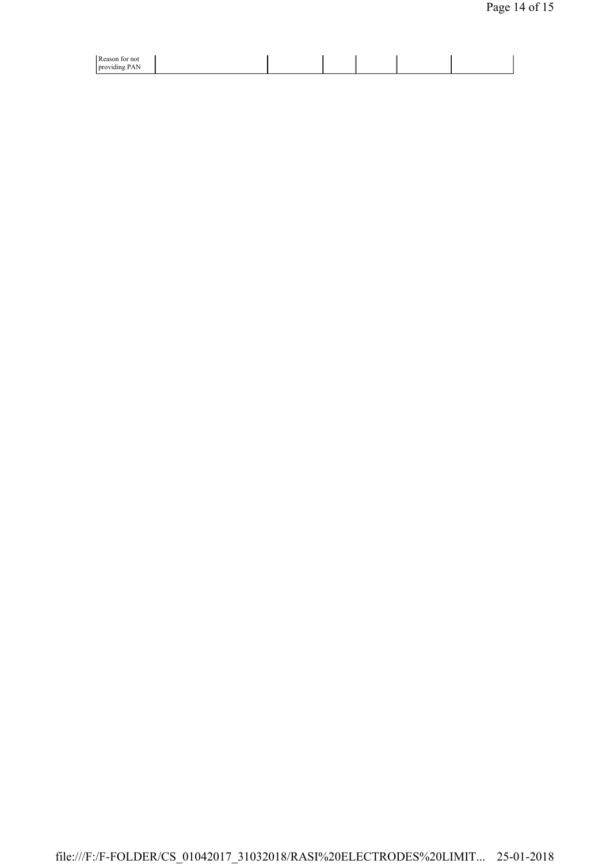| $\n  Dao$<br>not<br>w<br>$-$<br>$\mathbf{v}$<br>prov<br>viding<br>. .<br><b>TAI</b> |  |  |  |
|-------------------------------------------------------------------------------------|--|--|--|
|-------------------------------------------------------------------------------------|--|--|--|